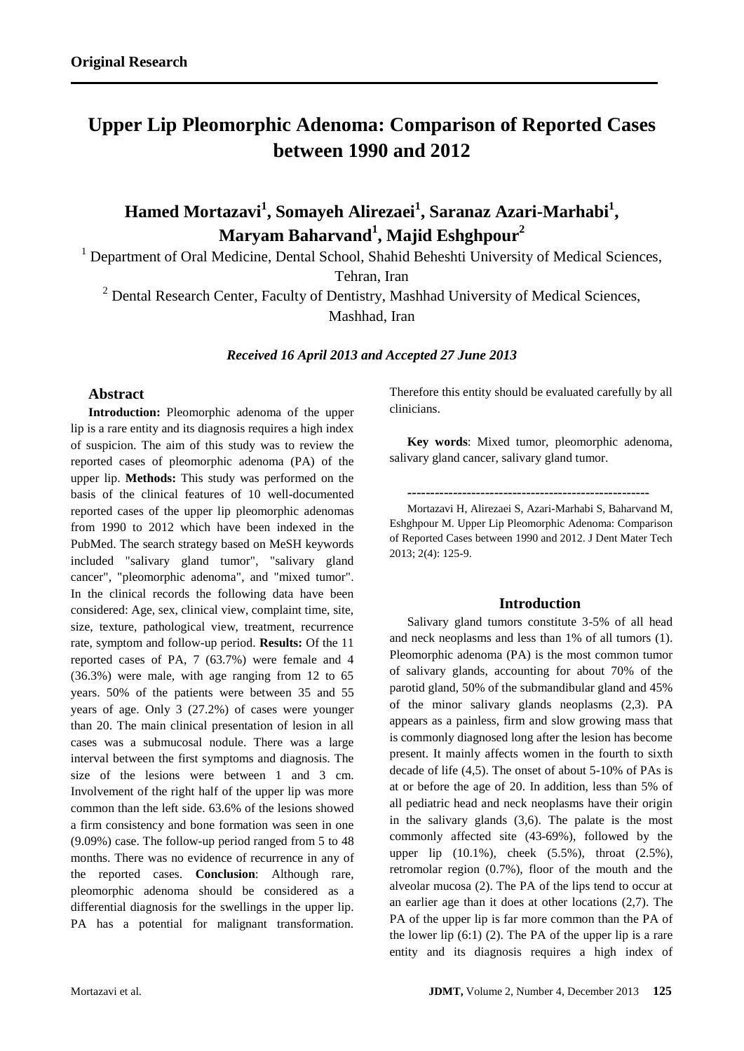# **Upper Lip Pleomorphic Adenoma: Comparison of Reported Cases between 1990 and 2012**

# **Hamed Mortazavi<sup>1</sup> , Somayeh Alirezaei<sup>1</sup> , Saranaz Azari-Marhabi<sup>1</sup> , Maryam Baharvand<sup>1</sup> , Majid Eshghpour<sup>2</sup>**

<sup>1</sup> Department of Oral Medicine, Dental School, Shahid Beheshti University of Medical Sciences,

Tehran, Iran

 $2$  Dental Research Center, Faculty of Dentistry, Mashhad University of Medical Sciences, Mashhad, Iran

*Received 16 April 2013 and Accepted 27 June 2013*

# **Abstract**

**Introduction:** Pleomorphic adenoma of the upper lip is a rare entity and its diagnosis requires a high index of suspicion. The aim of this study was to review the reported cases of pleomorphic adenoma (PA) of the upper lip. **Methods:** This study was performed on the basis of the clinical features of 10 well-documented reported cases of the upper lip pleomorphic adenomas from 1990 to 2012 which have been indexed in the PubMed. The search strategy based on MeSH keywords included "salivary gland tumor", "salivary gland cancer", "pleomorphic adenoma", and "mixed tumor". In the clinical records the following data have been considered: Age, sex, clinical view, complaint time, site, size, texture, pathological view, treatment, recurrence rate, symptom and follow-up period. **Results:** Of the 11 reported cases of PA, 7 (63.7%) were female and 4 (36.3%) were male, with age ranging from 12 to 65 years. 50% of the patients were between 35 and 55 years of age. Only 3 (27.2%) of cases were younger than 20. The main clinical presentation of lesion in all cases was a submucosal nodule. There was a large interval between the first symptoms and diagnosis. The size of the lesions were between 1 and 3 cm. Involvement of the right half of the upper lip was more common than the left side. 63.6% of the lesions showed a firm consistency and bone formation was seen in one (9.09%) case. The follow-up period ranged from 5 to 48 months. There was no evidence of recurrence in any of the reported cases. **Conclusion**: Although rare, pleomorphic adenoma should be considered as a differential diagnosis for the swellings in the upper lip. PA has a potential for malignant transformation.

Therefore this entity should be evaluated carefully by all clinicians.

**Key words**: Mixed tumor, pleomorphic adenoma, salivary gland cancer, salivary gland tumor.

**-----------------------------------------------------**

Mortazavi H, Alirezaei S, Azari-Marhabi S, Baharvand M, Eshghpour M. Upper Lip Pleomorphic Adenoma: Comparison of Reported Cases between 1990 and 2012. J Dent Mater Tech 2013; 2(4): 125-9.

## **Introduction**

Salivary gland tumors constitute 3-5% of all head and neck neoplasms and less than 1% of all tumors (1). Pleomorphic adenoma (PA) is the most common tumor of salivary glands, accounting for about 70% of the parotid gland, 50% of the submandibular gland and 45% of the minor salivary glands neoplasms (2,3). PA appears as a painless, firm and slow growing mass that is commonly diagnosed long after the lesion has become present. It mainly affects women in the fourth to sixth decade of life (4,5). The onset of about 5-10% of PAs is at or before the age of 20. In addition, less than 5% of all pediatric head and neck neoplasms have their origin in the salivary glands (3,6). The palate is the most commonly affected site (43-69%), followed by the upper lip (10.1%), cheek (5.5%), throat (2.5%), retromolar region (0.7%), floor of the mouth and the alveolar mucosa (2). The PA of the lips tend to occur at an earlier age than it does at other locations (2,7). The PA of the upper lip is far more common than the PA of the lower lip  $(6:1)$   $(2)$ . The PA of the upper lip is a rare entity and its diagnosis requires a high index of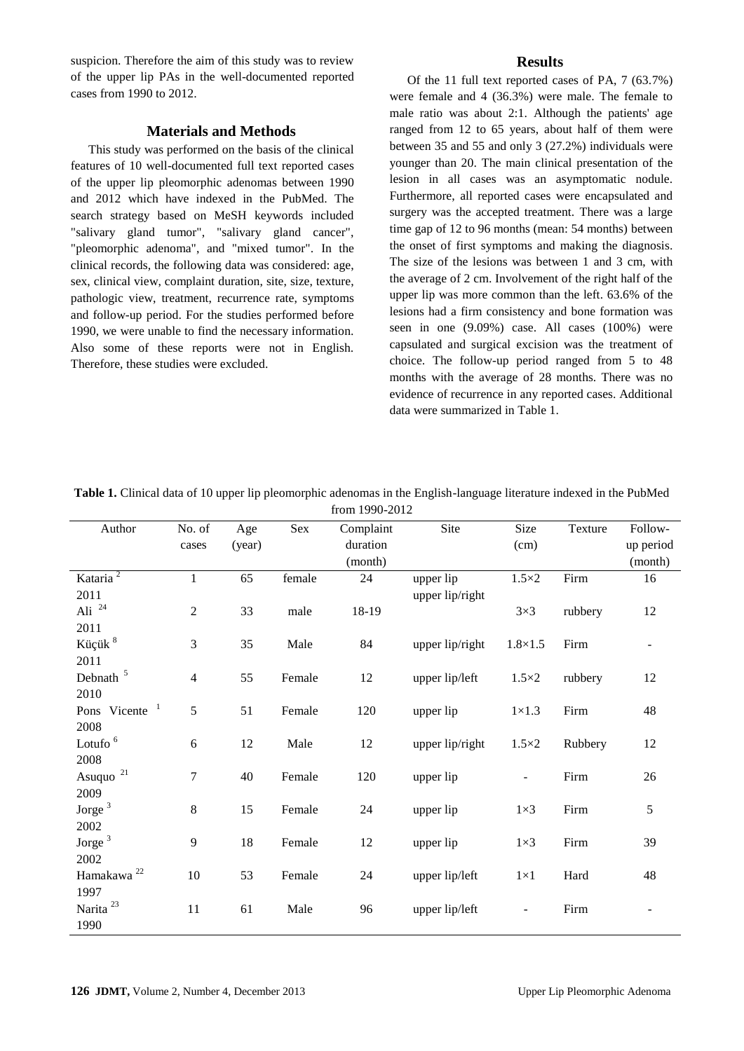suspicion. Therefore the aim of this study was to review of the upper lip PAs in the well-documented reported cases from 1990 to 2012.

## **Materials and Methods**

This study was performed on the basis of the clinical features of 10 well-documented full text reported cases of the upper lip pleomorphic adenomas between 1990 and 2012 which have indexed in the PubMed. The search strategy based on MeSH keywords included "salivary gland tumor", "salivary gland cancer", "pleomorphic adenoma", and "mixed tumor". In the clinical records, the following data was considered: age, sex, clinical view, complaint duration, site, size, texture, pathologic view, treatment, recurrence rate, symptoms and follow-up period. For the studies performed before 1990, we were unable to find the necessary information. Also some of these reports were not in English. Therefore, these studies were excluded.

## **Results**

Of the 11 full text reported cases of PA, 7 (63.7%) were female and 4 (36.3%) were male. The female to male ratio was about 2:1. Although the patients' age ranged from 12 to 65 years, about half of them were between 35 and 55 and only 3 (27.2%) individuals were younger than 20. The main clinical presentation of the lesion in all cases was an asymptomatic nodule. Furthermore, all reported cases were encapsulated and surgery was the accepted treatment. There was a large time gap of 12 to 96 months (mean: 54 months) between the onset of first symptoms and making the diagnosis. The size of the lesions was between 1 and 3 cm, with the average of 2 cm. Involvement of the right half of the upper lip was more common than the left. 63.6% of the lesions had a firm consistency and bone formation was seen in one (9.09%) case. All cases (100%) were capsulated and surgical excision was the treatment of choice. The follow-up period ranged from 5 to 48 months with the average of 28 months. There was no evidence of recurrence in any reported cases. Additional data were summarized in Table 1.

| $110111$ $1770 - 2012$    |                |        |        |           |                 |                          |         |           |
|---------------------------|----------------|--------|--------|-----------|-----------------|--------------------------|---------|-----------|
| Author                    | No. of         | Age    | Sex    | Complaint | Site            | Size                     | Texture | Follow-   |
|                           | cases          | (year) |        | duration  |                 | (cm)                     |         | up period |
|                           |                |        |        | (month)   |                 |                          |         | (month)   |
| Kataria <sup>2</sup>      | $\mathbf{1}$   | 65     | female | 24        | upper lip       | $1.5\times2$             | Firm    | 16        |
| 2011                      |                |        |        |           | upper lip/right |                          |         |           |
| Ali $^{24}$               | $\overline{2}$ | 33     | male   | 18-19     |                 | $3\times3$               | rubbery | 12        |
| 2011                      |                |        |        |           |                 |                          |         |           |
| Küçük <sup>8</sup>        | 3              | 35     | Male   | 84        | upper lip/right | $1.8 \times 1.5$         | Firm    |           |
| 2011                      |                |        |        |           |                 |                          |         |           |
| Debnath <sup>5</sup>      | $\overline{4}$ | 55     | Female | 12        | upper lip/left  | $1.5\times2$             | rubbery | 12        |
| 2010                      |                |        |        |           |                 |                          |         |           |
| Pons Vicente <sup>1</sup> | 5              | 51     | Female | 120       | upper lip       | $1\times1.3$             | Firm    | 48        |
| 2008                      |                |        |        |           |                 |                          |         |           |
| Lotufo <sup>6</sup>       | 6              | 12     | Male   | 12        | upper lip/right | $1.5\times2$             | Rubbery | 12        |
| 2008                      |                |        |        |           |                 |                          |         |           |
| Asuquo <sup>21</sup>      | $\overline{7}$ | 40     | Female | 120       | upper lip       |                          | Firm    | 26        |
| 2009                      |                |        |        |           |                 |                          |         |           |
| Jorge <sup>3</sup>        | 8              | 15     | Female | 24        | upper lip       | $1\times3$               | Firm    | 5         |
| 2002                      |                |        |        |           |                 |                          |         |           |
| Jorge <sup>3</sup>        | 9              | 18     | Female | 12        | upper lip       | $1\times3$               | Firm    | 39        |
| 2002                      |                |        |        |           |                 |                          |         |           |
| Hamakawa <sup>22</sup>    | $10\,$         | 53     | Female | 24        | upper lip/left  | $1\times1$               | Hard    | 48        |
| 1997                      |                |        |        |           |                 |                          |         |           |
| Narita <sup>23</sup>      | 11             | 61     | Male   | 96        | upper lip/left  | $\overline{\phantom{a}}$ | Firm    |           |
| 1990                      |                |        |        |           |                 |                          |         |           |

**Table 1.** Clinical data of 10 upper lip pleomorphic adenomas in the English-language literature indexed in the PubMed from 1990-2012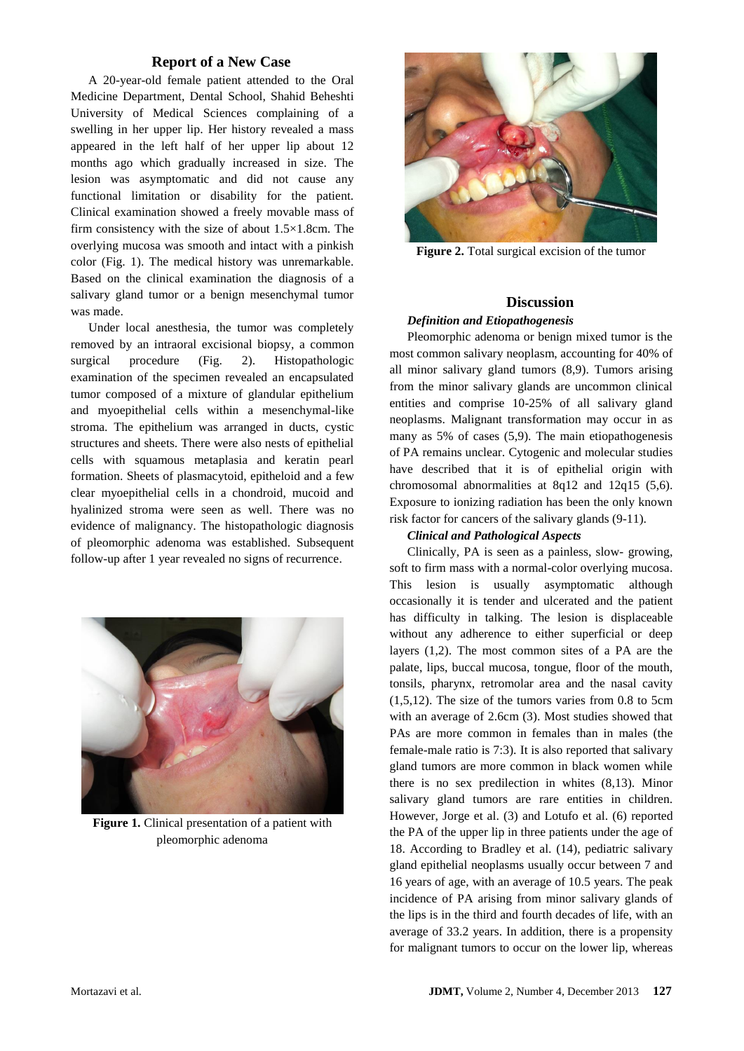## **Report of a New Case**

A 20-year-old female patient attended to the Oral Medicine Department, Dental School, Shahid Beheshti University of Medical Sciences complaining of a swelling in her upper lip. Her history revealed a mass appeared in the left half of her upper lip about 12 months ago which gradually increased in size. The lesion was asymptomatic and did not cause any functional limitation or disability for the patient. Clinical examination showed a freely movable mass of firm consistency with the size of about 1.5×1.8cm. The overlying mucosa was smooth and intact with a pinkish color (Fig. 1). The medical history was unremarkable. Based on the clinical examination the diagnosis of a salivary gland tumor or a benign mesenchymal tumor was made.

Under local anesthesia, the tumor was completely removed by an intraoral excisional biopsy, a common surgical procedure (Fig. 2). Histopathologic examination of the specimen revealed an encapsulated tumor composed of a mixture of glandular epithelium and myoepithelial cells within a mesenchymal-like stroma. The epithelium was arranged in ducts, cystic structures and sheets. There were also nests of epithelial cells with squamous metaplasia and keratin pearl formation. Sheets of plasmacytoid, epitheloid and a few clear myoepithelial cells in a chondroid, mucoid and hyalinized stroma were seen as well. There was no evidence of malignancy. The histopathologic diagnosis of pleomorphic adenoma was established. Subsequent follow-up after 1 year revealed no signs of recurrence.



**Figure 1.** Clinical presentation of a patient with pleomorphic adenoma



**Figure 2.** Total surgical excision of the tumor

#### **Discussion**

#### *Definition and Etiopathogenesis*

Pleomorphic adenoma or benign mixed tumor is the most common salivary neoplasm, accounting for 40% of all minor salivary gland tumors (8,9). Tumors arising from the minor salivary glands are uncommon clinical entities and comprise 10-25% of all salivary gland neoplasms. Malignant transformation may occur in as many as 5% of cases (5,9). The main etiopathogenesis of PA remains unclear. Cytogenic and molecular studies have described that it is of epithelial origin with chromosomal abnormalities at 8q12 and 12q15 (5,6). Exposure to ionizing radiation has been the only known risk factor for cancers of the salivary glands (9-11).

#### *Clinical and Pathological Aspects*

Clinically, PA is seen as a painless, slow- growing, soft to firm mass with a normal-color overlying mucosa. This lesion is usually asymptomatic although occasionally it is tender and ulcerated and the patient has difficulty in talking. The lesion is displaceable without any adherence to either superficial or deep layers (1,2). The most common sites of a PA are the palate, lips, buccal mucosa, tongue, floor of the mouth, tonsils, pharynx, retromolar area and the nasal cavity  $(1,5,12)$ . The size of the tumors varies from 0.8 to 5cm with an average of 2.6cm (3). Most studies showed that PAs are more common in females than in males (the female-male ratio is 7:3). It is also reported that salivary gland tumors are more common in black women while there is no sex predilection in whites (8,13). Minor salivary gland tumors are rare entities in children. However, Jorge et al. (3) and Lotufo et al. (6) reported the PA of the upper lip in three patients under the age of 18. According to Bradley et al. (14), pediatric salivary gland epithelial neoplasms usually occur between 7 and 16 years of age, with an average of 10.5 years. The peak incidence of PA arising from minor salivary glands of the lips is in the third and fourth decades of life, with an average of 33.2 years. In addition, there is a propensity for malignant tumors to occur on the lower lip, whereas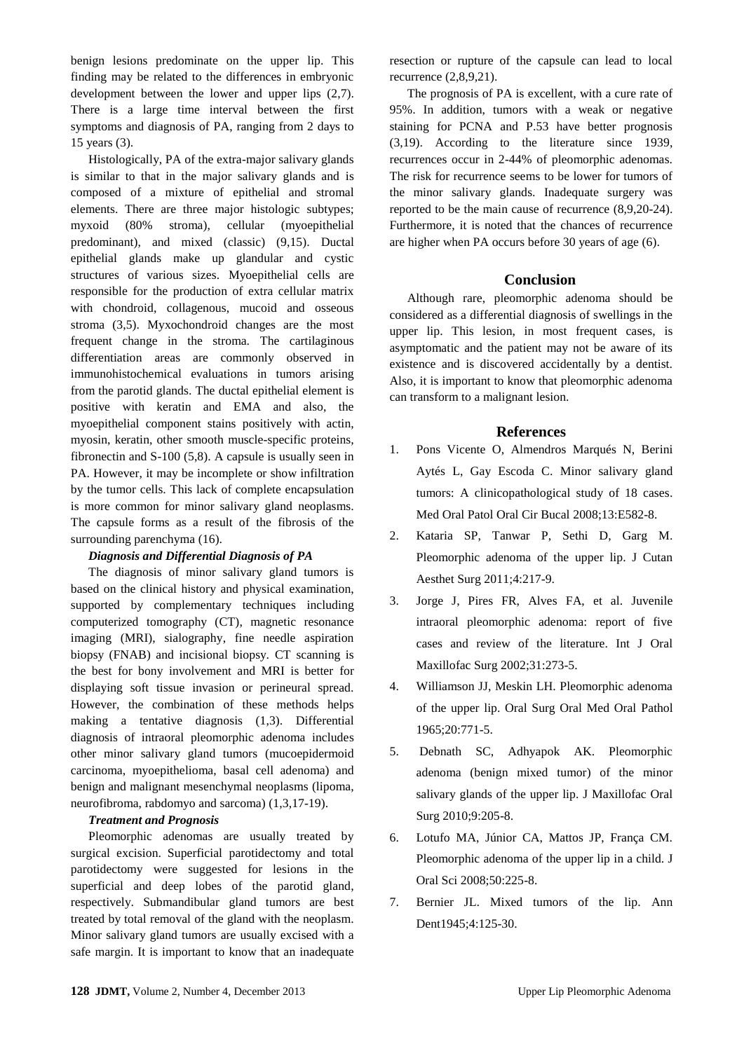benign lesions predominate on the upper lip. This finding may be related to the differences in embryonic development between the lower and upper lips (2,7). There is a large time interval between the first symptoms and diagnosis of PA, ranging from 2 days to 15 years (3).

Histologically, PA of the extra-major salivary glands is similar to that in the major salivary glands and is composed of a mixture of epithelial and stromal elements. There are three major histologic subtypes; myxoid (80% stroma), cellular (myoepithelial predominant), and mixed (classic) (9,15). Ductal epithelial glands make up glandular and cystic structures of various sizes. Myoepithelial cells are responsible for the production of extra cellular matrix with chondroid, collagenous, mucoid and osseous stroma (3,5). Myxochondroid changes are the most frequent change in the stroma. The cartilaginous differentiation areas are commonly observed in immunohistochemical evaluations in tumors arising from the parotid glands. The ductal epithelial element is positive with keratin and EMA and also, the myoepithelial component stains positively with actin, myosin, keratin, other smooth muscle-specific proteins, fibronectin and S-100 (5,8). A capsule is usually seen in PA. However, it may be incomplete or show infiltration by the tumor cells. This lack of complete encapsulation is more common for minor salivary gland neoplasms. The capsule forms as a result of the fibrosis of the surrounding parenchyma (16).

### *Diagnosis and Differential Diagnosis of PA*

The diagnosis of minor salivary gland tumors is based on the clinical history and physical examination, supported by complementary techniques including computerized tomography (CT), magnetic resonance imaging (MRI), sialography, fine needle aspiration biopsy (FNAB) and incisional biopsy. CT scanning is the best for bony involvement and MRI is better for displaying soft tissue invasion or perineural spread. However, the combination of these methods helps making a tentative diagnosis (1,3). Differential diagnosis of intraoral pleomorphic adenoma includes other minor salivary gland tumors (mucoepidermoid carcinoma, myoepithelioma, basal cell adenoma) and benign and malignant mesenchymal neoplasms (lipoma, neurofibroma, rabdomyo and sarcoma) (1,3,17-19).

#### *Treatment and Prognosis*

Pleomorphic adenomas are usually treated by surgical excision. Superficial parotidectomy and total parotidectomy were suggested for lesions in the superficial and deep lobes of the parotid gland, respectively. Submandibular gland tumors are best treated by total removal of the gland with the neoplasm. Minor salivary gland tumors are usually excised with a safe margin. It is important to know that an inadequate resection or rupture of the capsule can lead to local recurrence (2,8,9,21).

The prognosis of PA is excellent, with a cure rate of 95%. In addition, tumors with a weak or negative staining for PCNA and P.53 have better prognosis (3,19). According to the literature since 1939, recurrences occur in 2-44% of pleomorphic adenomas. The risk for recurrence seems to be lower for tumors of the minor salivary glands. Inadequate surgery was reported to be the main cause of recurrence (8,9,20-24). Furthermore, it is noted that the chances of recurrence are higher when PA occurs before 30 years of age (6).

## **Conclusion**

Although rare, pleomorphic adenoma should be considered as a differential diagnosis of swellings in the upper lip. This lesion, in most frequent cases, is asymptomatic and the patient may not be aware of its existence and is discovered accidentally by a dentist. Also, it is important to know that pleomorphic adenoma can transform to a malignant lesion.

#### **References**

- 1. Pons Vicente O, Almendros Marqués N, Berini Aytés L, Gay Escoda C. Minor salivary gland tumors: A clinicopathological study of 18 cases. Med Oral Patol Oral Cir Bucal 2008;13:E582-8.
- 2. Kataria SP, Tanwar P, Sethi D, Garg M. Pleomorphic adenoma of the upper lip. J Cutan Aesthet Surg 2011;4:217-9.
- 3. Jorge J, Pires FR, Alves FA, et al. Juvenile intraoral pleomorphic adenoma: report of five cases and review of the literature. Int J Oral Maxillofac Surg 2002;31:273-5.
- 4. Williamson JJ, Meskin LH. Pleomorphic adenoma of the upper lip. Oral Surg Oral Med Oral Pathol 1965;20:771-5.
- 5. Debnath SC, Adhyapok AK. Pleomorphic adenoma (benign mixed tumor) of the minor salivary glands of the upper lip. J Maxillofac Oral Surg 2010;9:205-8.
- 6. Lotufo MA, Júnior CA, Mattos JP, França CM. Pleomorphic adenoma of the upper lip in a child. J Oral Sci 2008;50:225-8.
- 7. Bernier JL. Mixed tumors of the lip. Ann Dent1945:4:125-30.